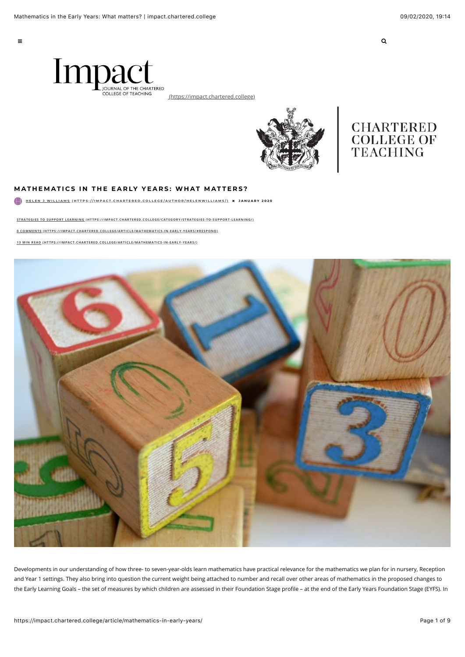$\equiv$   $\equiv$ 



[\(https://impact.chartered.college\)](https://impact.chartered.college/)



# **CHARTERED COLLEGE OF** TEACHING

### **MATHEMATICS IN THE EARLY YEARS: WHAT MATTERS?**

**[HELEN J WILLIAMS \(HTTPS://IMPACT.CHARTERED.COLLEGE/AUTHOR/HELENWILLIAMS/\)](https://impact.chartered.college/author/helenwilliams/)** ! **JANUARY 2020**

**[STRATEGIES TO SUPPORT LEARNING \(HTTPS://IMPACT.CHARTERED.COLLEGE/CATEGORY/STRATEGIES-TO-SUPPORT-LEARNING/\)](https://impact.chartered.college/category/strategies-to-support-learning/)**

**[0 COMMENTS \(HTTPS://IMPACT.CHARTERED.COLLEGE/ARTICLE/MATHEMATICS-IN-EARLY-YEARS/#RESPOND\)](https://impact.chartered.college/article/mathematics-in-early-years/#respond)**

**[13 MIN READ \(HTTPS://IMPACT.CHARTERED.COLLEGE/ARTICLE/MATHEMATICS-IN-EARLY-YEARS/\)](https://impact.chartered.college/article/mathematics-in-early-years/)**



Developments in our understanding of how three- to seven-year-olds learn mathematics have practical relevance for the mathematics we plan for in nursery, Reception and Year 1 settings. They also bring into question the current weight being attached to number and recall over other areas of mathematics in the proposed changes to the Early Learning Goals – the set of measures by which children are assessed in their Foundation Stage profile – at the end of the Early Years Foundation Stage (EYFS). In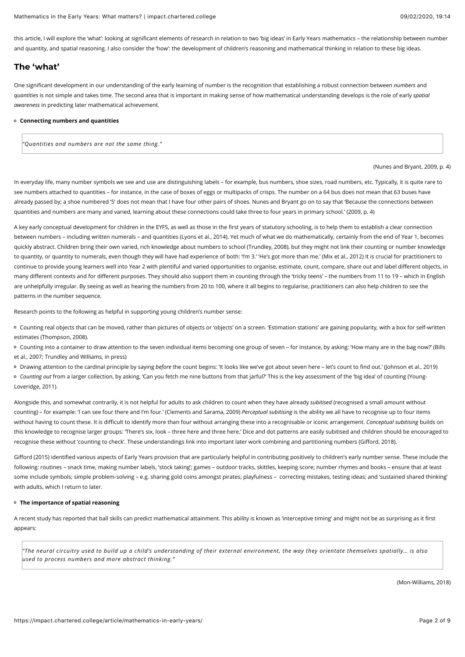this article, I will explore the 'what': looking at significant elements of research in relation to two 'big ideas' in Early Years mathematics – the relationship between number and quantity, and spatial reasoning. I also consider the 'how': the development of children's reasoning and mathematical thinking in relation to these big ideas.

## **The 'what'**

One significant development in our understanding of the early learning of number is the recognition that establishing a robust connection between *numbers* and *quantities* is not simple and takes time. The second area that is important in making sense of how mathematical understanding develops is the role of early *spatial awareness* in predicting later mathematical achievement.

#### **Connecting numbers and quantities**

*"Quantities and numbers are not the same thing."*

#### (Nunes and Bryant, 2009, p. 4)

In everyday life, many number symbols we see and use are distinguishing labels – for example, bus numbers, shoe sizes, road numbers, etc. Typically, it is quite rare to see numbers attached to quantities – for instance, in the case of boxes of eggs or multipacks of crisps. The number on a 64 bus does not mean that 63 buses have already passed by; a shoe numbered '5' does not mean that I have four other pairs of shoes. Nunes and Bryant go on to say that 'Because the connections between quantities and numbers are many and varied, learning about these connections could take three to four years in primary school.' (2009, p. 4)

A key early conceptual development for children in the EYFS, as well as those in the first years of statutory schooling, is to help them to establish a clear connection between numbers – including written numerals – and quantities (Lyons et al., 2014). Yet much of what we do mathematically, certainly from the end of Year 1, becomes quickly abstract. Children bring their own varied, rich knowledge about numbers to school (Trundley, 2008), but they might not link their counting or number knowledge to quantity, or quantity to numerals, even though they will have had experience of both: 'I'm 3.' 'He's got more than me.' (Mix et al., 2012) It is crucial for practitioners to continue to provide young learners well into Year 2 with plentiful and varied opportunities to organise, estimate, count, compare, share out and label different objects, in many different contexts and for different purposes. They should also support them in counting through the 'tricky teens' – the numbers from 11 to 19 – which in English are unhelpfully irregular. By seeing as well as hearing the numbers from 20 to 100, where it all begins to regularise, practitioners can also help children to see the patterns in the number sequence.

Research points to the following as helpful in supporting young children's number sense:

o Counting real objects that can be moved, rather than pictures of objects or 'objects' on a screen. 'Estimation stations' are gaining popularity, with a box for self-written estimates (Thompson, 2008).

Counting into a container to draw attention to the seven individual items becoming one group of seven – for instance, by asking: 'How many are in the bag now?' (Bills et al., 2007; Trundley and Williams, in press)

Drawing attention to the cardinal principle by saying *before* the count begins: 'It looks like we've got about seven here – let's count to find out.' (Johnson et al., 2019)

*Counting out* from a larger collection, by asking, 'Can you fetch me nine buttons from that jarful?' This is the key assessment of the 'big idea' of counting (Young-Loveridge, 2011).

Alongside this, and somewhat contrarily, it is not helpful for adults to ask children to count when they have already *subitised* (recognised a small amount without counting) – for example: 'I can see four there and I'm four.' (Clements and Sarama, 2009) *Perceptual subitising* is the ability we all have to recognise up to four items without having to count these. It is difficult to identify more than four without arranging these into a recognisable or iconic arrangement. *Conceptual subitising* builds on this knowledge to recognise larger groups: 'There's six, look – three here and three here.' Dice and dot patterns are easily subitised and children should be encouraged to recognise these without 'counting to check'. These understandings link into important later work combining and partitioning numbers (Gifford, 2018).

Gifford (2015) identified various aspects of Early Years provision that are particularly helpful in contributing positively to children's early number sense. These include the following: routines – snack time, making number labels, 'stock taking'; games – outdoor tracks, skittles, keeping score; number rhymes and books – ensure that at least some include symbols; simple problem-solving - e.g. sharing gold coins amongst pirates; playfulness - correcting mistakes, testing ideas; and 'sustained shared thinking' with adults, which I return to later.

#### **The importance of spatial reasoning**

A recent study has reported that ball skills can predict mathematical attainment. This ability is known as 'interceptive timing' and might not be as surprising as it first appears:

*"The neural circuitry used to build up a child's understanding of their external environment, the way they orientate themselves spatially… is also used to process numbers and more abstract thinking."*

(Mon-Williams, 2018)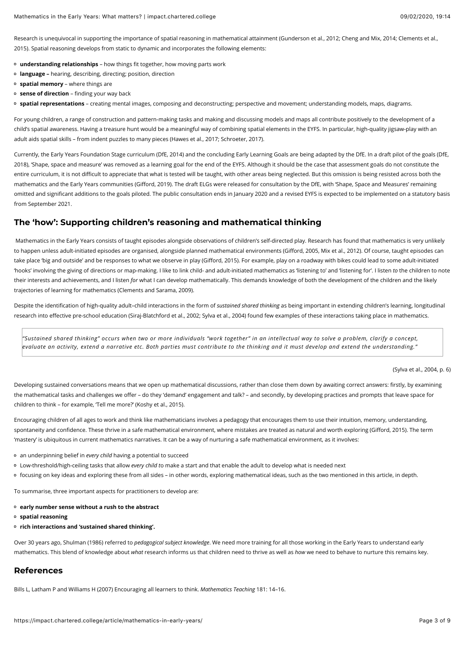Research is unequivocal in supporting the importance of spatial reasoning in mathematical attainment (Gunderson et al., 2012; Cheng and Mix, 2014; Clements et al., 2015). Spatial reasoning develops from static to dynamic and incorporates the following elements:

- **understanding relationships**  how things fit together, how moving parts work
- **language –** hearing, describing, directing; position, direction
- **spatial memory**  where things are
- **sense of direction**  finding your way back
- **spatial representations**  creating mental images, composing and deconstructing; perspective and movement; understanding models, maps, diagrams.

For young children, a range of construction and pattern-making tasks and making and discussing models and maps all contribute positively to the development of a child's spatial awareness. Having a treasure hunt would be a meaningful way of combining spatial elements in the EYFS. In particular, high-quality jigsaw-play with an adult aids spatial skills – from indent puzzles to many pieces (Hawes et al., 2017; Schroeter, 2017).

Currently, the Early Years Foundation Stage curriculum (DfE, 2014) and the concluding Early Learning Goals are being adapted by the DfE. In a draft pilot of the goals (DfE, 2018), 'Shape, space and measure' was removed as a learning goal for the end of the EYFS. Although it should be the case that assessment goals do not constitute the entire curriculum, it is not difficult to appreciate that what is tested will be taught, with other areas being neglected. But this omission is being resisted across both the mathematics and the Early Years communities (Gifford, 2019). The draft ELGs were released for consultation by the DfE, with 'Shape, Space and Measures' remaining omitted and significant additions to the goals piloted. The public consultation ends in January 2020 and a revised EYFS is expected to be implemented on a statutory basis from September 2021.

## **The 'how': Supporting children's reasoning and mathematical thinking**

Mathematics in the Early Years consists of taught episodes alongside observations of children's self-directed play. Research has found that mathematics is very unlikely to happen unless adult-initiated episodes are organised, alongside planned mathematical environments (Gifford, 2005, Mix et al., 2012). Of course, taught episodes can take place 'big and outside' and be responses to what we observe in play (Gifford, 2015). For example, play on a roadway with bikes could lead to some adult-initiated 'hooks' involving the giving of directions or map-making. I like to link child- and adult-initiated mathematics as 'listening to' and 'listening for'. I listen *to* the children to note their interests and achievements, and I listen *for* what I can develop mathematically. This demands knowledge of both the development of the children and the likely trajectories of learning for mathematics (Clements and Sarama, 2009).

Despite the identification of high-quality adult–child interactions in the form of *sustained shared thinking* as being important in extending children's learning, longitudinal research into effective pre-school education (Siraj-Blatchford et al., 2002; Sylva et al., 2004) found few examples of these interactions taking place in mathematics.

*"Sustained shared thinking" occurs when two or more individuals "work together" in an intellectual way to solve a problem, clarify a concept, evaluate an activity, extend a narrative etc. Both parties must contribute to the thinking and it must develop and extend the understanding."*

(Sylva et al., 2004, p. 6)

Developing sustained conversations means that we open up mathematical discussions, rather than close them down by awaiting correct answers: firstly, by examining the mathematical tasks and challenges we offer – do they 'demand' engagement and talk? – and secondly, by developing practices and prompts that leave space for children to think - for example, 'Tell me more?' (Koshy et al., 2015).

Encouraging children of all ages to work and think like mathematicians involves a pedagogy that encourages them to use their intuition, memory, understanding, spontaneity and confidence. These thrive in a safe mathematical environment, where mistakes are treated as natural and worth exploring (Gifford, 2015). The term 'mastery' is ubiquitous in current mathematics narratives. It can be a way of nurturing a safe mathematical environment, as it involves:

- an underpinning belief in *every child* having a potential to succeed
- Low-threshold/high-ceiling tasks that allow *every child t*o make a start and that enable the adult to develop what is needed next
- focusing on key ideas and exploring these from all sides in other words, exploring mathematical ideas, such as the two mentioned in this article, in depth.

To summarise, three important aspects for practitioners to develop are:

- **early number sense without a rush to the abstract**
- **spatial reasoning**
- **rich interactions and 'sustained shared thinking'.**

Over 30 years ago, Shulman (1986) referred to *pedagogical subject knowledge*. We need more training for all those working in the Early Years to understand early mathematics. This blend of knowledge about *what* research informs us that children need to thrive as well as *how* we need to behave to nurture this remains key.

## **References**

Bills L, Latham P and Williams H (2007) Encouraging all learners to think. *Mathematics Teaching* 181: 14–16.